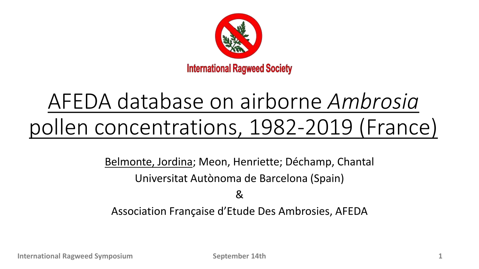

# AFEDA database on airborne *Ambrosia* pollen concentrations, 1982-2019 (France)

Belmonte, Jordina; Meon, Henriette; Déchamp, Chantal Universitat Autònoma de Barcelona (Spain)

&

Association Française d'Etude Des Ambrosies, AFEDA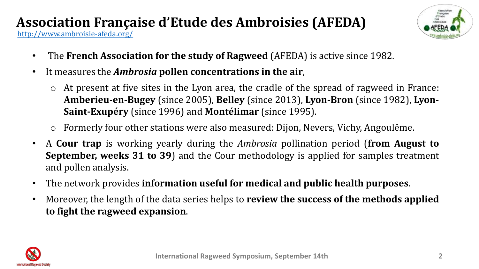#### <http://www.ambroisie-afeda.org/> **Association Française d'Etude des Ambroisies (AFEDA)**



- The **French Association for the study of Ragweed** (AFEDA) is active since 1982.
- It measures the *Ambrosia* **pollen concentrations in the air**,
	- At present at five sites in the Lyon area, the cradle of the spread of ragweed in France: **Amberieu-en-Bugey** (since 2005), **Belley** (since 2013), **Lyon-Bron** (since 1982), **Lyon-Saint-Exupéry** (since 1996) and **Montélimar** (since 1995).
	- Formerly four other stations were also measured: Dijon, Nevers, Vichy, Angoulême.
- A **Cour trap** is working yearly during the *Ambrosia* pollination period (**from August to September, weeks 31 to 39**) and the Cour methodology is applied for samples treatment and pollen analysis.
- The network provides **information useful for medical and public health purposes**.
- Moreover, the length of the data series helps to **review the success of the methods applied to fight the ragweed expansion**.

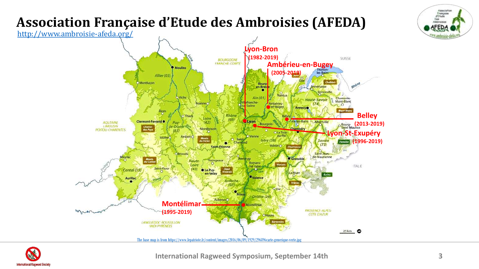

#### **Association Française d'Etude des Ambroisies (AFEDA)**

<http://www.ambroisie-afeda.org/>



**International Ragweed Symposium, September 14th 3**

Association Française<br>d'Etude Dea Ambroisies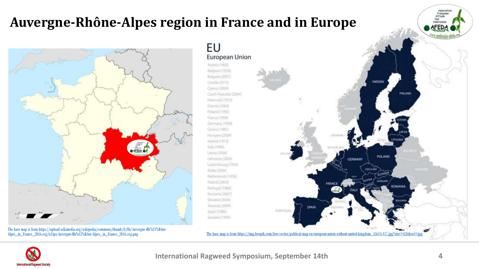## **Auvergne-Rhône-Alpes region in France and in Europe**





**International Ragweed Symposium, September 14th 4**

Associati Française d'Etude Des Ambroisies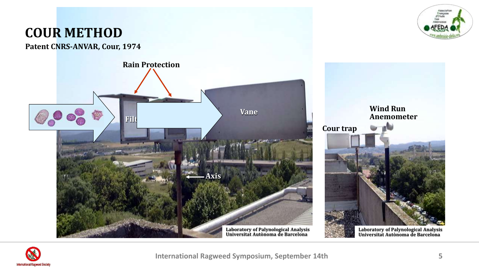

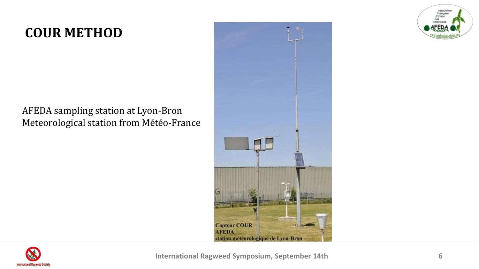## **COUR METHOD**

#### AFEDA sampling station at Lyon-Bron Meteorological station from Météo-France





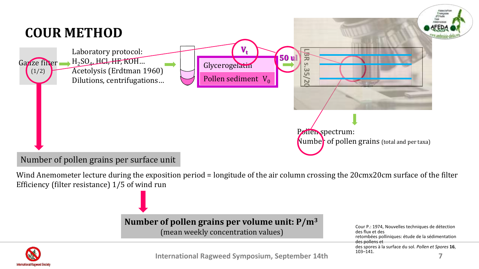

Number of pollen grains per surface unit

Wind Anemometer lecture during the exposition period = longitude of the air column crossing the 20cmx20cm surface of the filter Efficiency (filter resistance) 1/5 of wind run

#### **Number of pollen grains per volume unit: P/m<sup>3</sup>**

(mean weekly concentration values)

Cour P.: 1974, Nouvelles techniques de détection des flux et des retombées polliniques: étude de la sédimentation des pollens et des spores à la surface du sol. *Pollen et Spores* **16**, 103–141.



**International Ragweed Symposium, September 14th 7**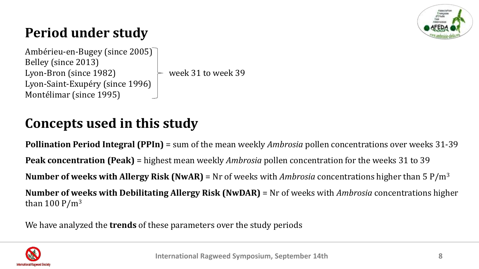

# **Period under study**

Ambérieu-en-Bugey (since 2005) Belley (since 2013) Lyon-Bron (since 1982)  $\rightarrow$  week 31 to week 39 Lyon-Saint-Exupéry (since 1996) Montélimar (since 1995)

## **Concepts used in this study**

**Pollination Period Integral (PPIn)** = sum of the mean weekly *Ambrosia* pollen concentrations over weeks 31-39 **Peak concentration (Peak)** = highest mean weekly *Ambrosia* pollen concentration for the weeks 31 to 39 **Number of weeks with Allergy Risk (NwAR)** = Nr of weeks with *Ambrosia* concentrations higher than 5 P/m<sup>3</sup> **Number of weeks with Debilitating Allergy Risk (NwDAR)** = Nr of weeks with *Ambrosia* concentrations higher than 100  $P/m^3$ 

We have analyzed the **trends** of these parameters over the study periods

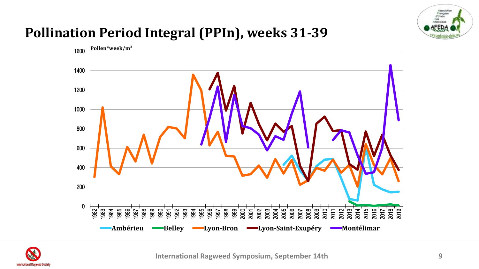

## **Pollination Period Integral (PPIn), weeks 31-39**



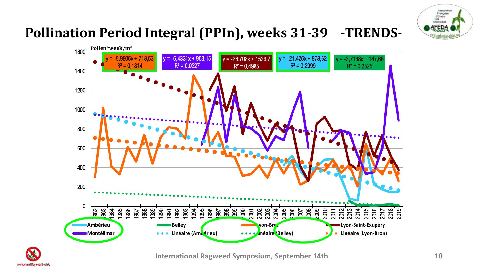

# **Pollination Period Integral (PPIn), weeks 31-39 -TRENDS-**





**International Ragweed Symposium, September 14th 10**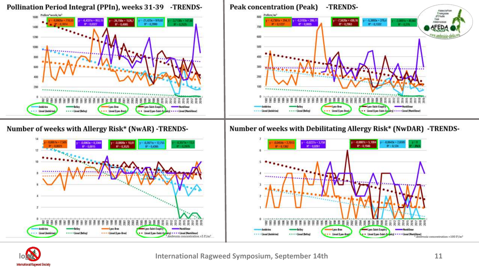

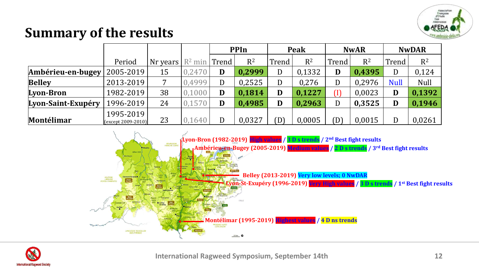

# **Summary of the results**

|                    |                                           |          |                   | <b>PPIn</b> |        | Peak  |        | <b>NwAR</b> |        | <b>NwDAR</b> |             |
|--------------------|-------------------------------------------|----------|-------------------|-------------|--------|-------|--------|-------------|--------|--------------|-------------|
|                    | Period                                    | Nr years | $R^2$ min   Trend |             | $R^2$  | Trend | $R^2$  | Trend       | $R^2$  | Trend        | $R^2$       |
| Ambérieu-en-bugey  | 2005-2019                                 | 15       | 0,2470            | D           | 0,2999 | D     | 0,1332 | D           | 0,4395 | D            | 0,124       |
| <b>Belley</b>      | 2013-2019                                 | 7        | 0,4999            |             | 0,2525 | D     | 0,276  | D           | 0,2976 | <b>Null</b>  | <b>Null</b> |
| Lyon-Bron          | 1982-2019                                 | 38       | 0,1000            | D           | 0,1814 | D     | 0,1227 | T)          | 0,0023 | D            | 0,1392      |
| Lyon-Saint-Exupéry | 1996-2019                                 | 24       | 0,1570            | D           | 0,4985 | D     | 0,2963 | D           | 0,3525 | D            | 0,1946      |
| Montélimar         | 1995-2019<br>$(c \times c$ ept 2009-2010) | 23       | 0,1640            |             | 0,0327 | (D)   | 0,0005 | D)          | 0,0015 | D            | 0,0261      |



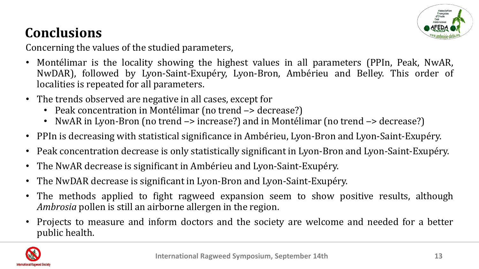

# **Conclusions**

Concerning the values of the studied parameters,

- Montélimar is the locality showing the highest values in all parameters (PPIn, Peak, NwAR, NwDAR), followed by Lyon-Saint-Exupéry, Lyon-Bron, Ambérieu and Belley. This order of localities is repeated for all parameters.
- The trends observed are negative in all cases, except for
	- Peak concentration in Montélimar (no trend  $\rightarrow$  decrease?)
	- NwAR in Lyon-Bron (no trend  $\rightarrow$  increase?) and in Montélimar (no trend  $\rightarrow$  decrease?)
- PPIn is decreasing with statistical significance in Ambérieu, Lyon-Bron and Lyon-Saint-Exupéry.
- Peak concentration decrease is only statistically significant in Lyon-Bron and Lyon-Saint-Exupéry.
- The NwAR decrease is significant in Ambérieu and Lyon-Saint-Exupéry.
- The NwDAR decrease is significant in Lyon-Bron and Lyon-Saint-Exupéry.
- The methods applied to fight ragweed expansion seem to show positive results, although *Ambrosia* pollen is still an airborne allergen in the region.
- Projects to measure and inform doctors and the society are welcome and needed for a better public health.